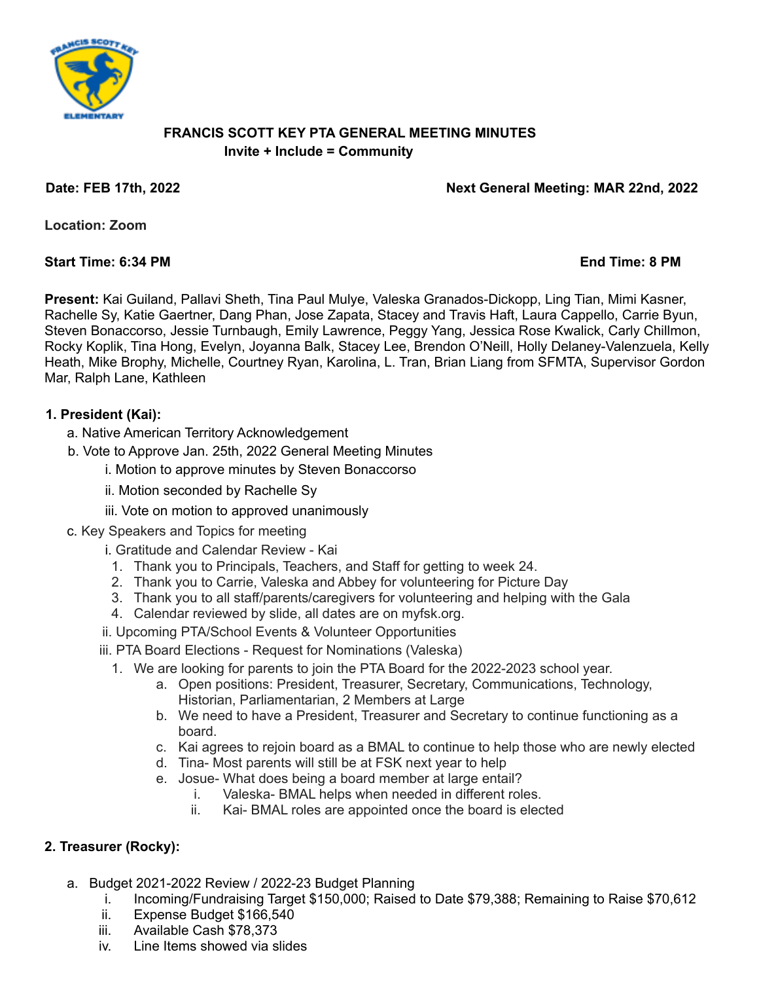

#### **FRANCIS SCOTT KEY PTA GENERAL MEETING MINUTES Invite + Include = Community**

**Date: FEB 17th, 2022 Next General Meeting: MAR 22nd, 2022**

**Location: Zoom**

#### **Start Time: 6:34 PM End Time: 8 PM**

**Present:** Kai Guiland, Pallavi Sheth, Tina Paul Mulye, Valeska Granados-Dickopp, Ling Tian, Mimi Kasner, Rachelle Sy, Katie Gaertner, Dang Phan, Jose Zapata, Stacey and Travis Haft, Laura Cappello, Carrie Byun, Steven Bonaccorso, Jessie Turnbaugh, Emily Lawrence, Peggy Yang, Jessica Rose Kwalick, Carly Chillmon, Rocky Koplik, Tina Hong, Evelyn, Joyanna Balk, Stacey Lee, Brendon O'Neill, Holly Delaney-Valenzuela, Kelly Heath, Mike Brophy, Michelle, Courtney Ryan, Karolina, L. Tran, Brian Liang from SFMTA, Supervisor Gordon Mar, Ralph Lane, Kathleen

# **1. President (Kai):**

- a. Native American Territory Acknowledgement
- b. Vote to Approve Jan. 25th, 2022 General Meeting Minutes
	- i. Motion to approve minutes by Steven Bonaccorso
	- ii. Motion seconded by Rachelle Sy
	- iii. Vote on motion to approved unanimously
- c. Key Speakers and Topics for meeting
	- i. Gratitude and Calendar Review Kai
	- 1. Thank you to Principals, Teachers, and Staff for getting to week 24.
	- 2. Thank you to Carrie, Valeska and Abbey for volunteering for Picture Day
	- 3. Thank you to all staff/parents/caregivers for volunteering and helping with the Gala
	- 4. Calendar reviewed by slide, all dates are on myfsk.org.
	- ii. Upcoming PTA/School Events & Volunteer Opportunities
	- iii. PTA Board Elections Request for Nominations (Valeska)
		- 1. We are looking for parents to join the PTA Board for the 2022-2023 school year.
			- a. Open positions: President, Treasurer, Secretary, Communications, Technology, Historian, Parliamentarian, 2 Members at Large
			- b. We need to have a President, Treasurer and Secretary to continue functioning as a board.
			- c. Kai agrees to rejoin board as a BMAL to continue to help those who are newly elected
			- d. Tina- Most parents will still be at FSK next year to help
			- e. Josue- What does being a board member at large entail?
				- i. Valeska- BMAL helps when needed in different roles.
				- ii. Kai- BMAL roles are appointed once the board is elected

# **2. Treasurer (Rocky):**

- a. Budget 2021-2022 Review / 2022-23 Budget Planning
	- i. Incoming/Fundraising Target \$150,000; Raised to Date \$79,388; Remaining to Raise \$70,612
	- ii. Expense Budget \$166,540
	- iii. Available Cash \$78,373
	- iv. Line Items showed via slides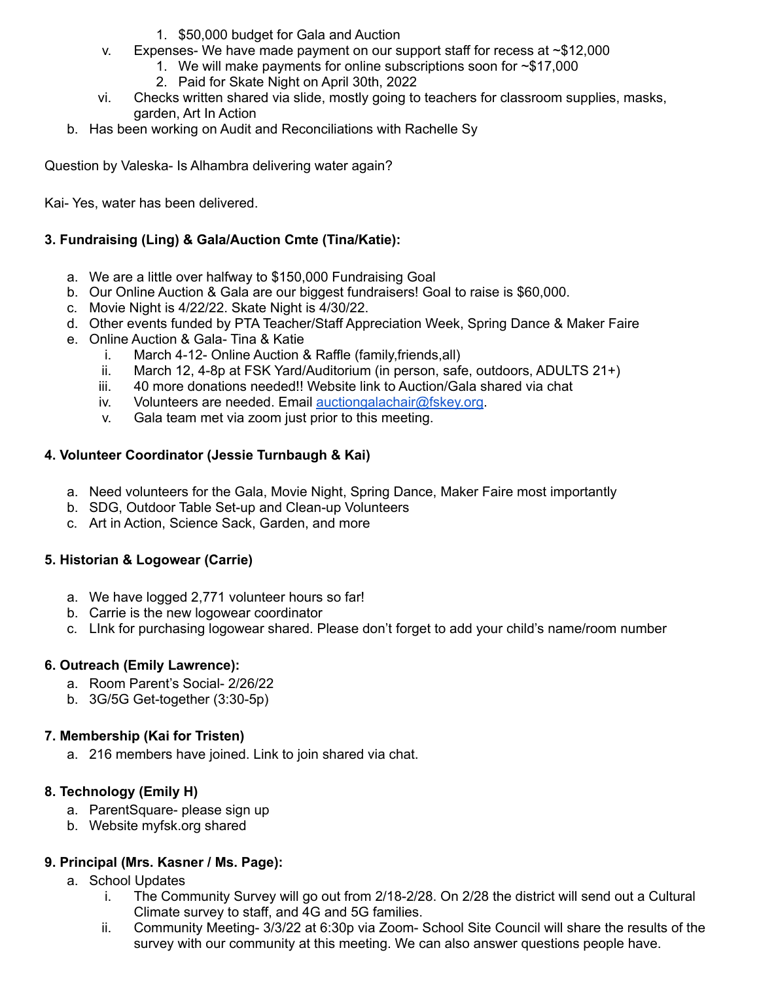- 1. \$50,000 budget for Gala and Auction
- v. Expenses- We have made payment on our support staff for recess at ~\$12,000
	- 1. We will make payments for online subscriptions soon for ~\$17,000
	- 2. Paid for Skate Night on April 30th, 2022
- vi. Checks written shared via slide, mostly going to teachers for classroom supplies, masks, garden, Art In Action
- b. Has been working on Audit and Reconciliations with Rachelle Sy

Question by Valeska- Is Alhambra delivering water again?

Kai- Yes, water has been delivered.

## **3. Fundraising (Ling) & Gala/Auction Cmte (Tina/Katie):**

- a. We are a little over halfway to \$150,000 Fundraising Goal
- b. Our Online Auction & Gala are our biggest fundraisers! Goal to raise is \$60,000.
- c. Movie Night is 4/22/22. Skate Night is 4/30/22.
- d. Other events funded by PTA Teacher/Staff Appreciation Week, Spring Dance & Maker Faire
- e. Online Auction & Gala- Tina & Katie
	- i. March 4-12- Online Auction & Raffle (family,friends,all)
	- ii. March 12, 4-8p at FSK Yard/Auditorium (in person, safe, outdoors, ADULTS 21+)
	- iii. 40 more donations needed!! Website link to Auction/Gala shared via chat
	- iv. Volunteers are needed. Email [auctiongalachair@fskey.org](mailto:auctiongalachair@fskey.org).
	- v. Gala team met via zoom just prior to this meeting.

## **4. Volunteer Coordinator (Jessie Turnbaugh & Kai)**

- a. Need volunteers for the Gala, Movie Night, Spring Dance, Maker Faire most importantly
- b. SDG, Outdoor Table Set-up and Clean-up Volunteers
- c. Art in Action, Science Sack, Garden, and more

## **5. Historian & Logowear (Carrie)**

- a. We have logged 2,771 volunteer hours so far!
- b. Carrie is the new logowear coordinator
- c. LInk for purchasing logowear shared. Please don't forget to add your child's name/room number

## **6. Outreach (Emily Lawrence):**

- a. Room Parent's Social- 2/26/22
- b. 3G/5G Get-together (3:30-5p)

## **7. Membership (Kai for Tristen)**

a. 216 members have joined. Link to join shared via chat.

## **8. Technology (Emily H)**

- a. ParentSquare- please sign up
- b. Website myfsk.org shared

## **9. Principal (Mrs. Kasner / Ms. Page):**

- a. School Updates
	- i. The Community Survey will go out from 2/18-2/28. On 2/28 the district will send out a Cultural Climate survey to staff, and 4G and 5G families.
	- ii. Community Meeting- 3/3/22 at 6:30p via Zoom- School Site Council will share the results of the survey with our community at this meeting. We can also answer questions people have.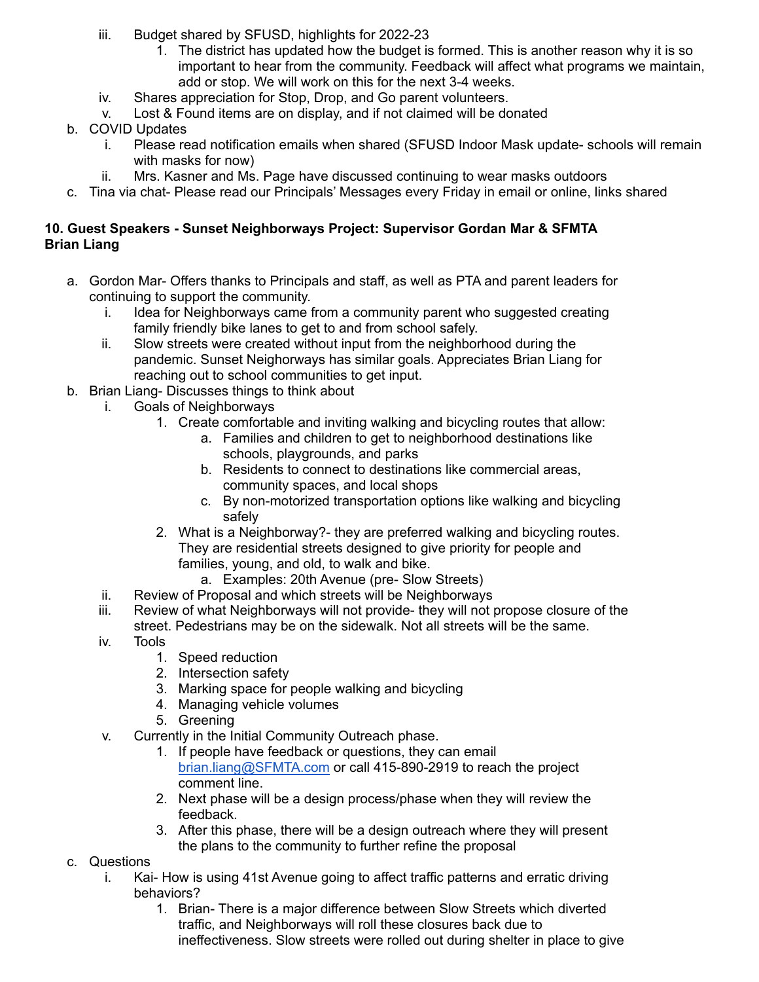- iii. Budget shared by SFUSD, highlights for 2022-23
	- 1. The district has updated how the budget is formed. This is another reason why it is so important to hear from the community. Feedback will affect what programs we maintain, add or stop. We will work on this for the next 3-4 weeks.
- iv. Shares appreciation for Stop, Drop, and Go parent volunteers.
- v. Lost & Found items are on display, and if not claimed will be donated
- b. COVID Updates
	- i. Please read notification emails when shared (SFUSD Indoor Mask update- schools will remain with masks for now)
	- ii. Mrs. Kasner and Ms. Page have discussed continuing to wear masks outdoors
- c. Tina via chat- Please read our Principals' Messages every Friday in email or online, links shared

## **10. Guest Speakers - Sunset Neighborways Project: Supervisor Gordan Mar & SFMTA Brian Liang**

- a. Gordon Mar- Offers thanks to Principals and staff, as well as PTA and parent leaders for continuing to support the community.
	- i. Idea for Neighborways came from a community parent who suggested creating family friendly bike lanes to get to and from school safely.
	- ii. Slow streets were created without input from the neighborhood during the pandemic. Sunset Neighorways has similar goals. Appreciates Brian Liang for reaching out to school communities to get input.
- b. Brian Liang- Discusses things to think about
	- i. Goals of Neighborways
		- 1. Create comfortable and inviting walking and bicycling routes that allow:
			- a. Families and children to get to neighborhood destinations like schools, playgrounds, and parks
			- b. Residents to connect to destinations like commercial areas, community spaces, and local shops
			- c. By non-motorized transportation options like walking and bicycling safely
			- 2. What is a Neighborway?- they are preferred walking and bicycling routes. They are residential streets designed to give priority for people and families, young, and old, to walk and bike.
				- a. Examples: 20th Avenue (pre- Slow Streets)
	- ii. Review of Proposal and which streets will be Neighborways
	- iii. Review of what Neighborways will not provide- they will not propose closure of the street. Pedestrians may be on the sidewalk. Not all streets will be the same.
	- iv. Tools
		- 1. Speed reduction
		- 2. Intersection safety
		- 3. Marking space for people walking and bicycling
		- 4. Managing vehicle volumes
		- 5. Greening
	- v. Currently in the Initial Community Outreach phase.
		- 1. If people have feedback or questions, they can email [brian.liang@SFMTA.com](mailto:brian.liang@SFMTA.com) or call 415-890-2919 to reach the project comment line.
		- 2. Next phase will be a design process/phase when they will review the feedback.
		- 3. After this phase, there will be a design outreach where they will present the plans to the community to further refine the proposal

## c. Questions

- i. Kai- How is using 41st Avenue going to affect traffic patterns and erratic driving behaviors?
	- 1. Brian- There is a major difference between Slow Streets which diverted traffic, and Neighborways will roll these closures back due to ineffectiveness. Slow streets were rolled out during shelter in place to give